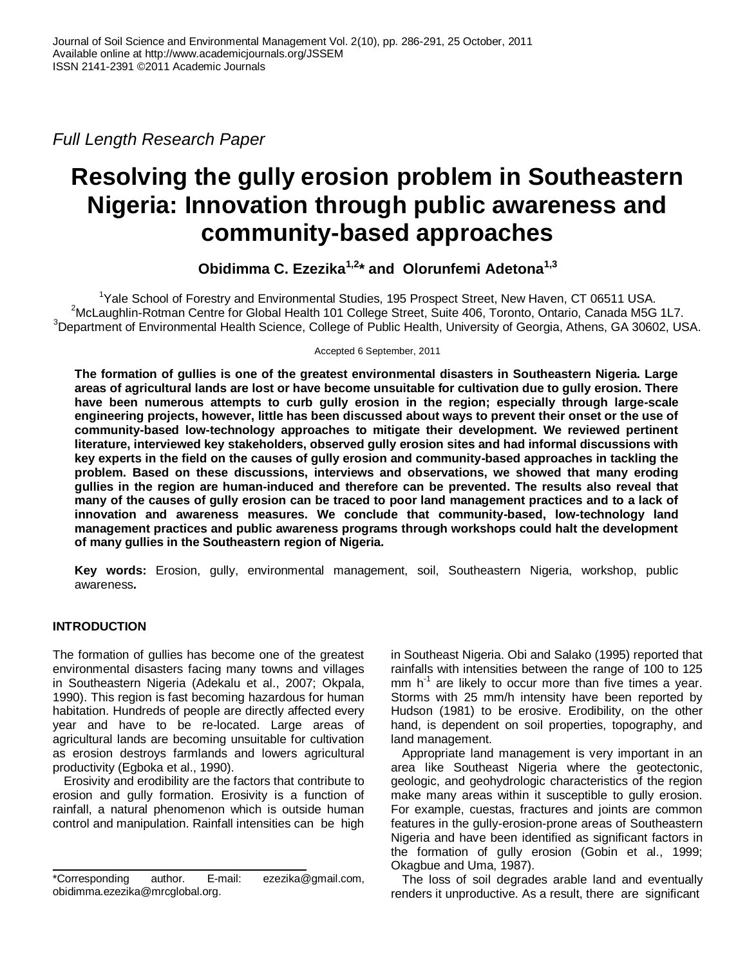*Full Length Research Paper*

# **Resolving the gully erosion problem in Southeastern Nigeria: Innovation through public awareness and community-based approaches**

**Obidimma C. Ezezika1,2\* and Olorunfemi Adetona1,3**

<sup>1</sup>Yale School of Forestry and Environmental Studies, 195 Prospect Street, New Haven, CT 06511 USA. <sup>2</sup>McLaughlin-Rotman Centre for Global Health 101 College Street, Suite 406, Toronto, Ontario, Canada M5G 1L7.  $3$ Department of Environmental Health Science, College of Public Health, University of Georgia, Athens, GA 30602, USA.

Accepted 6 September, 2011

**The formation of gullies is one of the greatest environmental disasters in Southeastern Nigeria. Large areas of agricultural lands are lost or have become unsuitable for cultivation due to gully erosion. There have been numerous attempts to curb gully erosion in the region; especially through large-scale engineering projects, however, little has been discussed about ways to prevent their onset or the use of community-based low-technology approaches to mitigate their development. We reviewed pertinent literature, interviewed key stakeholders, observed gully erosion sites and had informal discussions with key experts in the field on the causes of gully erosion and community-based approaches in tackling the problem. Based on these discussions, interviews and observations, we showed that many eroding gullies in the region are human-induced and therefore can be prevented. The results also reveal that many of the causes of gully erosion can be traced to poor land management practices and to a lack of innovation and awareness measures. We conclude that community-based, low-technology land management practices and public awareness programs through workshops could halt the development of many gullies in the Southeastern region of Nigeria.** 

**Key words:** Erosion, gully, environmental management, soil, Southeastern Nigeria, workshop, public awareness**.**

# **INTRODUCTION**

The formation of gullies has become one of the greatest environmental disasters facing many towns and villages in Southeastern Nigeria (Adekalu et al., 2007; Okpala, 1990). This region is fast becoming hazardous for human habitation. Hundreds of people are directly affected every year and have to be re-located. Large areas of agricultural lands are becoming unsuitable for cultivation as erosion destroys farmlands and lowers agricultural productivity (Egboka et al., 1990).

Erosivity and erodibility are the factors that contribute to erosion and gully formation. Erosivity is a function of rainfall, a natural phenomenon which is outside human control and manipulation. Rainfall intensities can be high in Southeast Nigeria. Obi and Salako (1995) reported that rainfalls with intensities between the range of 100 to 125 mm  $h^{-1}$  are likely to occur more than five times a year. Storms with 25 mm/h intensity have been reported by Hudson (1981) to be erosive. Erodibility, on the other hand, is dependent on soil properties, topography, and land management.

Appropriate land management is very important in an area like Southeast Nigeria where the geotectonic, geologic, and geohydrologic characteristics of the region make many areas within it susceptible to gully erosion. For example, cuestas, fractures and joints are common features in the gully-erosion-prone areas of Southeastern Nigeria and have been identified as significant factors in the formation of gully erosion (Gobin et al., 1999; Okagbue and Uma, 1987).

The loss of soil degrades arable land and eventually renders it unproductive. As a result, there are significant

<sup>\*</sup>Corresponding author. E-mail: ezezika@gmail.com, obidimma.ezezika@mrcglobal.org.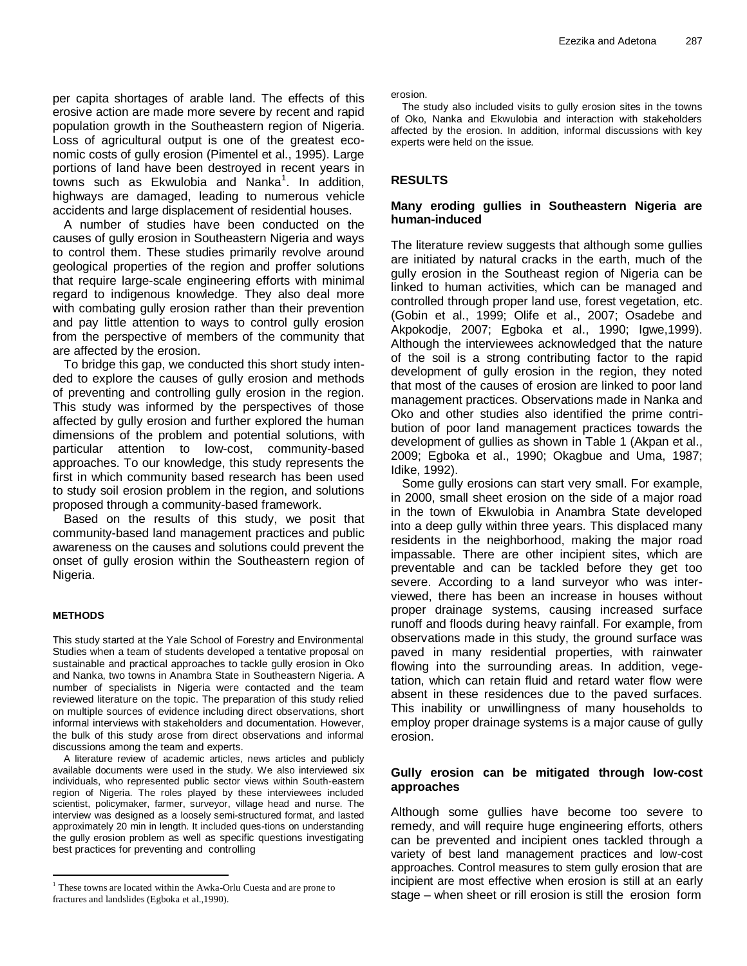per capita shortages of arable land. The effects of this erosive action are made more severe by recent and rapid population growth in the Southeastern region of Nigeria. Loss of agricultural output is one of the greatest economic costs of gully erosion (Pimentel et al., 1995). Large portions of land have been destroyed in recent years in .<br>towns such as Ekwulobia and Nanka<sup>1</sup>. In addition, highways are damaged, leading to numerous vehicle accidents and large displacement of residential houses.

A number of studies have been conducted on the causes of gully erosion in Southeastern Nigeria and ways to control them. These studies primarily revolve around geological properties of the region and proffer solutions that require large-scale engineering efforts with minimal regard to indigenous knowledge. They also deal more with combating gully erosion rather than their prevention and pay little attention to ways to control gully erosion from the perspective of members of the community that are affected by the erosion.

To bridge this gap, we conducted this short study intended to explore the causes of gully erosion and methods of preventing and controlling gully erosion in the region. This study was informed by the perspectives of those affected by gully erosion and further explored the human dimensions of the problem and potential solutions, with particular attention to low-cost, community-based approaches. To our knowledge, this study represents the first in which community based research has been used to study soil erosion problem in the region, and solutions proposed through a community-based framework.

Based on the results of this study, we posit that community-based land management practices and public awareness on the causes and solutions could prevent the onset of gully erosion within the Southeastern region of Nigeria.

#### **METHODS**

 $\overline{a}$ 

This study started at the Yale School of Forestry and Environmental Studies when a team of students developed a tentative proposal on sustainable and practical approaches to tackle gully erosion in Oko and Nanka, two towns in Anambra State in Southeastern Nigeria. A number of specialists in Nigeria were contacted and the team reviewed literature on the topic. The preparation of this study relied on multiple sources of evidence including direct observations, short informal interviews with stakeholders and documentation. However, the bulk of this study arose from direct observations and informal discussions among the team and experts.

A literature review of academic articles, news articles and publicly available documents were used in the study. We also interviewed six individuals, who represented public sector views within South-eastern region of Nigeria. The roles played by these interviewees included scientist, policymaker, farmer, surveyor, village head and nurse. The interview was designed as a loosely semi-structured format, and lasted approximately 20 min in length. It included ques-tions on understanding the gully erosion problem as well as specific questions investigating best practices for preventing and controlling

erosion.

The study also included visits to gully erosion sites in the towns of Oko, Nanka and Ekwulobia and interaction with stakeholders affected by the erosion. In addition, informal discussions with key experts were held on the issue.

## **RESULTS**

# **Many eroding gullies in Southeastern Nigeria are human-induced**

The literature review suggests that although some gullies are initiated by natural cracks in the earth, much of the gully erosion in the Southeast region of Nigeria can be linked to human activities, which can be managed and controlled through proper land use, forest vegetation, etc. (Gobin et al., 1999; Olife et al., 2007; Osadebe and Akpokodje, 2007; Egboka et al., 1990; Igwe,1999). Although the interviewees acknowledged that the nature of the soil is a strong contributing factor to the rapid development of gully erosion in the region, they noted that most of the causes of erosion are linked to poor land management practices. Observations made in Nanka and Oko and other studies also identified the prime contribution of poor land management practices towards the development of gullies as shown in Table 1 (Akpan et al., 2009; Egboka et al., 1990; Okagbue and Uma, 1987; Idike, 1992).

Some gully erosions can start very small. For example, in 2000, small sheet erosion on the side of a major road in the town of Ekwulobia in Anambra State developed into a deep gully within three years. This displaced many residents in the neighborhood, making the major road impassable. There are other incipient sites, which are preventable and can be tackled before they get too severe. According to a land surveyor who was interviewed, there has been an increase in houses without proper drainage systems, causing increased surface runoff and floods during heavy rainfall. For example, from observations made in this study, the ground surface was paved in many residential properties, with rainwater flowing into the surrounding areas. In addition, vegetation, which can retain fluid and retard water flow were absent in these residences due to the paved surfaces. This inability or unwillingness of many households to employ proper drainage systems is a major cause of gully erosion.

## **Gully erosion can be mitigated through low-cost approaches**

Although some gullies have become too severe to remedy, and will require huge engineering efforts, others can be prevented and incipient ones tackled through a variety of best land management practices and low-cost approaches. Control measures to stem gully erosion that are incipient are most effective when erosion is still at an early stage – when sheet or rill erosion is still the erosion form

<sup>&</sup>lt;sup>1</sup> These towns are located within the Awka-Orlu Cuesta and are prone to fractures and landslides (Egboka et al.,1990).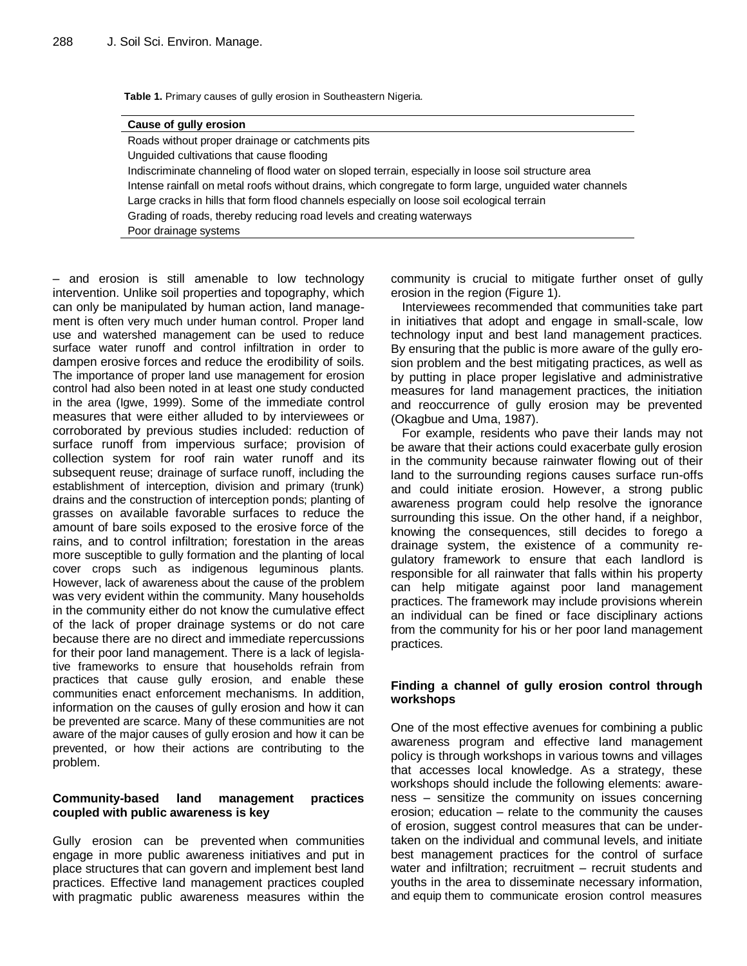**Table 1.** Primary causes of gully erosion in Southeastern Nigeria.

#### **Cause of gully erosion**

Roads without proper drainage or catchments pits Unguided cultivations that cause flooding Indiscriminate channeling of flood water on sloped terrain, especially in loose soil structure area Intense rainfall on metal roofs without drains, which congregate to form large, unguided water channels Large cracks in hills that form flood channels especially on loose soil ecological terrain Grading of roads, thereby reducing road levels and creating waterways Poor drainage systems

– and erosion is still amenable to low technology intervention. Unlike soil properties and topography, which can only be manipulated by human action, land management is often very much under human control. Proper land use and watershed management can be used to reduce surface water runoff and control infiltration in order to dampen erosive forces and reduce the erodibility of soils. The importance of proper land use management for erosion control had also been noted in at least one study conducted in the area (Igwe, 1999). Some of the immediate control measures that were either alluded to by interviewees or corroborated by previous studies included: reduction of surface runoff from impervious surface; provision of collection system for roof rain water runoff and its subsequent reuse; drainage of surface runoff, including the establishment of interception, division and primary (trunk) drains and the construction of interception ponds; planting of grasses on available favorable surfaces to reduce the amount of bare soils exposed to the erosive force of the rains, and to control infiltration; forestation in the areas more susceptible to gully formation and the planting of local cover crops such as indigenous leguminous plants. However, lack of awareness about the cause of the problem was very evident within the community. Many households in the community either do not know the cumulative effect of the lack of proper drainage systems or do not care because there are no direct and immediate repercussions for their poor land management. There is a lack of legislative frameworks to ensure that households refrain from practices that cause gully erosion, and enable these communities enact enforcement mechanisms. In addition, information on the causes of gully erosion and how it can be prevented are scarce. Many of these communities are not aware of the major causes of gully erosion and how it can be prevented, or how their actions are contributing to the problem.

# **Community-based land management practices coupled with public awareness is key**

Gully erosion can be prevented when communities engage in more public awareness initiatives and put in place structures that can govern and implement best land practices. Effective land management practices coupled with pragmatic public awareness measures within the community is crucial to mitigate further onset of gully erosion in the region (Figure 1).

Interviewees recommended that communities take part in initiatives that adopt and engage in small-scale, low technology input and best land management practices. By ensuring that the public is more aware of the gully erosion problem and the best mitigating practices, as well as by putting in place proper legislative and administrative measures for land management practices, the initiation and reoccurrence of gully erosion may be prevented (Okagbue and Uma, 1987).

For example, residents who pave their lands may not be aware that their actions could exacerbate gully erosion in the community because rainwater flowing out of their land to the surrounding regions causes surface run-offs and could initiate erosion. However, a strong public awareness program could help resolve the ignorance surrounding this issue. On the other hand, if a neighbor, knowing the consequences, still decides to forego a drainage system, the existence of a community regulatory framework to ensure that each landlord is responsible for all rainwater that falls within his property can help mitigate against poor land management practices. The framework may include provisions wherein an individual can be fined or face disciplinary actions from the community for his or her poor land management practices.

## **Finding a channel of gully erosion control through workshops**

One of the most effective avenues for combining a public awareness program and effective land management policy is through workshops in various towns and villages that accesses local knowledge. As a strategy, these workshops should include the following elements: awareness – sensitize the community on issues concerning erosion; education – relate to the community the causes of erosion, suggest control measures that can be undertaken on the individual and communal levels, and initiate best management practices for the control of surface water and infiltration; recruitment – recruit students and youths in the area to disseminate necessary information, and equip them to communicate erosion control measures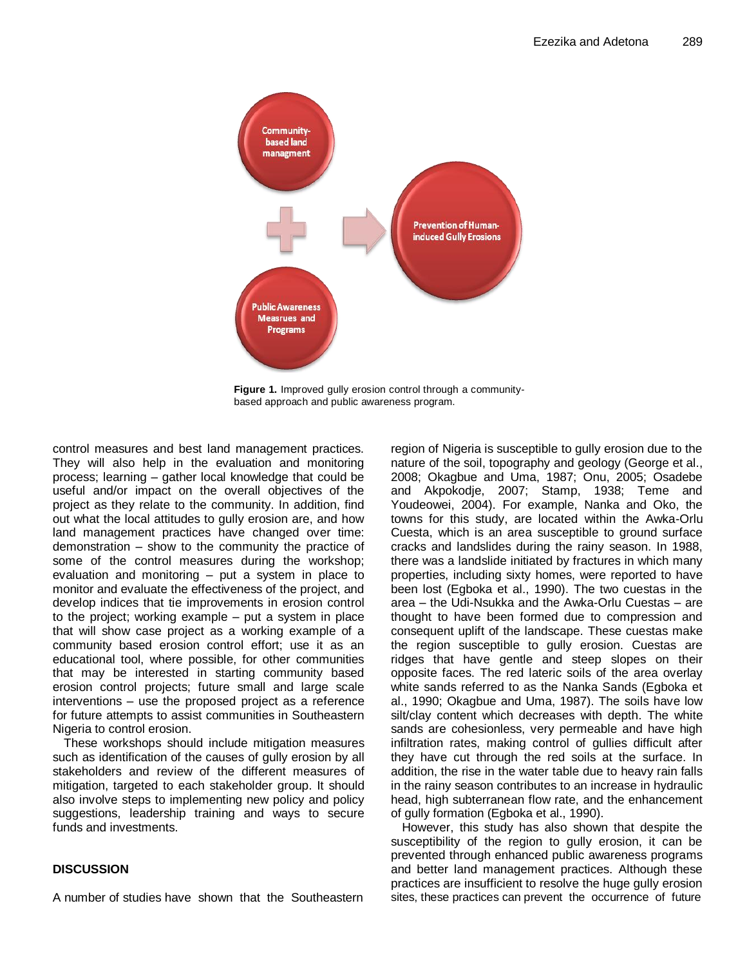

**Figure 1.** Improved gully erosion control through a communitybased approach and public awareness program.

control measures and best land management practices. They will also help in the evaluation and monitoring process; learning – gather local knowledge that could be useful and/or impact on the overall objectives of the project as they relate to the community. In addition, find out what the local attitudes to gully erosion are, and how land management practices have changed over time: demonstration – show to the community the practice of some of the control measures during the workshop; evaluation and monitoring – put a system in place to monitor and evaluate the effectiveness of the project, and develop indices that tie improvements in erosion control to the project; working example – put a system in place that will show case project as a working example of a community based erosion control effort; use it as an educational tool, where possible, for other communities that may be interested in starting community based erosion control projects; future small and large scale interventions – use the proposed project as a reference for future attempts to assist communities in Southeastern Nigeria to control erosion.

These workshops should include mitigation measures such as identification of the causes of gully erosion by all stakeholders and review of the different measures of mitigation, targeted to each stakeholder group. It should also involve steps to implementing new policy and policy suggestions, leadership training and ways to secure funds and investments.

# **DISCUSSION**

A number of studies have shown that the Southeastern

region of Nigeria is susceptible to gully erosion due to the nature of the soil, topography and geology (George et al., 2008; Okagbue and Uma, 1987; Onu, 2005; Osadebe and Akpokodje, 2007; Stamp, 1938; Teme and Youdeowei, 2004). For example, Nanka and Oko, the towns for this study, are located within the Awka-Orlu Cuesta, which is an area susceptible to ground surface cracks and landslides during the rainy season. In 1988, there was a landslide initiated by fractures in which many properties, including sixty homes, were reported to have been lost (Egboka et al., 1990). The two cuestas in the area – the Udi-Nsukka and the Awka-Orlu Cuestas – are thought to have been formed due to compression and consequent uplift of the landscape. These cuestas make the region susceptible to gully erosion. Cuestas are ridges that have gentle and steep slopes on their opposite faces. The red lateric soils of the area overlay white sands referred to as the Nanka Sands (Egboka et al., 1990; Okagbue and Uma, 1987). The soils have low silt/clay content which decreases with depth. The white sands are cohesionless, very permeable and have high infiltration rates, making control of gullies difficult after they have cut through the red soils at the surface. In addition, the rise in the water table due to heavy rain falls in the rainy season contributes to an increase in hydraulic head, high subterranean flow rate, and the enhancement of gully formation (Egboka et al., 1990).

However, this study has also shown that despite the susceptibility of the region to gully erosion, it can be prevented through enhanced public awareness programs and better land management practices. Although these practices are insufficient to resolve the huge gully erosion sites, these practices can prevent the occurrence of future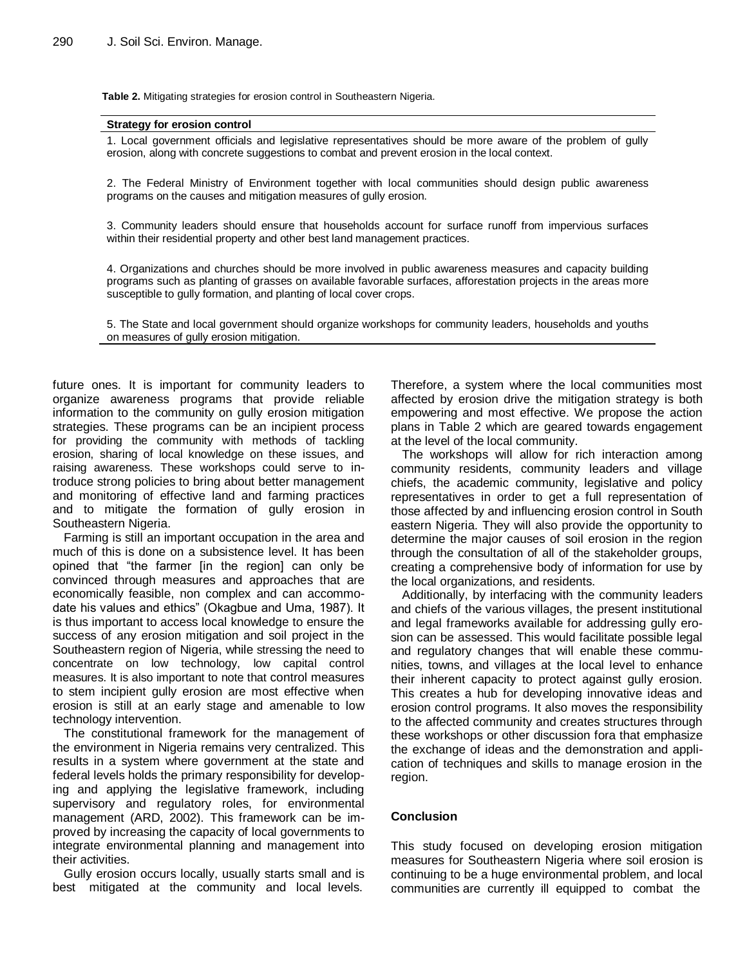**Table 2.** Mitigating strategies for erosion control in Southeastern Nigeria.

#### **Strategy for erosion control**

1. Local government officials and legislative representatives should be more aware of the problem of gully erosion, along with concrete suggestions to combat and prevent erosion in the local context.

2. The Federal Ministry of Environment together with local communities should design public awareness programs on the causes and mitigation measures of gully erosion.

3. Community leaders should ensure that households account for surface runoff from impervious surfaces within their residential property and other best land management practices.

4. Organizations and churches should be more involved in public awareness measures and capacity building programs such as planting of grasses on available favorable surfaces, afforestation projects in the areas more susceptible to gully formation, and planting of local cover crops.

5. The State and local government should organize workshops for community leaders, households and youths on measures of gully erosion mitigation.

future ones. It is important for community leaders to organize awareness programs that provide reliable information to the community on gully erosion mitigation strategies. These programs can be an incipient process for providing the community with methods of tackling erosion, sharing of local knowledge on these issues, and raising awareness. These workshops could serve to introduce strong policies to bring about better management and monitoring of effective land and farming practices and to mitigate the formation of gully erosion in Southeastern Nigeria.

Farming is still an important occupation in the area and much of this is done on a subsistence level. It has been opined that "the farmer [in the region] can only be convinced through measures and approaches that are economically feasible, non complex and can accommodate his values and ethics" (Okagbue and Uma, 1987). It is thus important to access local knowledge to ensure the success of any erosion mitigation and soil project in the Southeastern region of Nigeria, while stressing the need to concentrate on low technology, low capital control measures. It is also important to note that control measures to stem incipient gully erosion are most effective when erosion is still at an early stage and amenable to low technology intervention.

The constitutional framework for the management of the environment in Nigeria remains very centralized. This results in a system where government at the state and federal levels holds the primary responsibility for developing and applying the legislative framework, including supervisory and regulatory roles, for environmental management (ARD, 2002). This framework can be improved by increasing the capacity of local governments to integrate environmental planning and management into their activities.

Gully erosion occurs locally, usually starts small and is best mitigated at the community and local levels.

Therefore, a system where the local communities most affected by erosion drive the mitigation strategy is both empowering and most effective. We propose the action plans in Table 2 which are geared towards engagement at the level of the local community.

The workshops will allow for rich interaction among community residents, community leaders and village chiefs, the academic community, legislative and policy representatives in order to get a full representation of those affected by and influencing erosion control in South eastern Nigeria. They will also provide the opportunity to determine the major causes of soil erosion in the region through the consultation of all of the stakeholder groups, creating a comprehensive body of information for use by the local organizations, and residents.

Additionally, by interfacing with the community leaders and chiefs of the various villages, the present institutional and legal frameworks available for addressing gully erosion can be assessed. This would facilitate possible legal and regulatory changes that will enable these communities, towns, and villages at the local level to enhance their inherent capacity to protect against gully erosion. This creates a hub for developing innovative ideas and erosion control programs. It also moves the responsibility to the affected community and creates structures through these workshops or other discussion fora that emphasize the exchange of ideas and the demonstration and application of techniques and skills to manage erosion in the region.

### **Conclusion**

This study focused on developing erosion mitigation measures for Southeastern Nigeria where soil erosion is continuing to be a huge environmental problem, and local communities are currently ill equipped to combat the